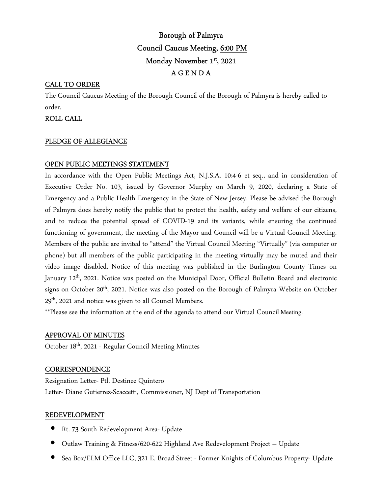# Borough of Palmyra Council Caucus Meeting, 6:00 PM Monday November 1st, 2021 A G E N D A

## CALL TO ORDER

The Council Caucus Meeting of the Borough Council of the Borough of Palmyra is hereby called to order.

## ROLL CALL

## PLEDGE OF ALLEGIANCE

## OPEN PUBLIC MEETINGS STATEMENT

In accordance with the Open Public Meetings Act, N.J.S.A. 10:4-6 et seq., and in consideration of Executive Order No. 103, issued by Governor Murphy on March 9, 2020, declaring a State of Emergency and a Public Health Emergency in the State of New Jersey. Please be advised the Borough of Palmyra does hereby notify the public that to protect the health, safety and welfare of our citizens, and to reduce the potential spread of COVID-19 and its variants, while ensuring the continued functioning of government, the meeting of the Mayor and Council will be a Virtual Council Meeting. Members of the public are invited to "attend" the Virtual Council Meeting "Virtually" (via computer or phone) but all members of the public participating in the meeting virtually may be muted and their video image disabled. Notice of this meeting was published in the Burlington County Times on January 12<sup>th</sup>, 2021. Notice was posted on the Municipal Door, Official Bulletin Board and electronic signs on October 20<sup>th</sup>, 2021. Notice was also posted on the Borough of Palmyra Website on October 29<sup>th</sup>, 2021 and notice was given to all Council Members.

\*\*Please see the information at the end of the agenda to attend our Virtual Council Meeting.

## APPROVAL OF MINUTES

October 18th, 2021 - Regular Council Meeting Minutes

## **CORRESPONDENCE**

Resignation Letter- Ptl. Destinee Quintero Letter- Diane Gutierrez-Scaccetti, Commissioner, NJ Dept of Transportation

## REDEVELOPMENT

- Rt. 73 South Redevelopment Area- Update
- Outlaw Training & Fitness/620-622 Highland Ave Redevelopment Project Update
- Sea Box/ELM Office LLC, 321 E. Broad Street Former Knights of Columbus Property- Update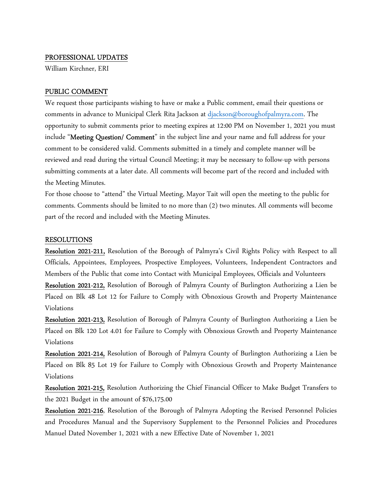#### PROFESSIONAL UPDATES

William Kirchner, ERI

#### PUBLIC COMMENT

We request those participants wishing to have or make a Public comment, email their questions or comments in advance to Municipal Clerk Rita Jackson at djackson@boroughofpalmyra.com. The opportunity to submit comments prior to meeting expires at 12:00 PM on November 1, 2021 you must include "Meeting Question/ Comment" in the subject line and your name and full address for your comment to be considered valid. Comments submitted in a timely and complete manner will be reviewed and read during the virtual Council Meeting; it may be necessary to follow-up with persons submitting comments at a later date. All comments will become part of the record and included with the Meeting Minutes.

For those choose to "attend" the Virtual Meeting, Mayor Tait will open the meeting to the public for comments. Comments should be limited to no more than (2) two minutes. All comments will become part of the record and included with the Meeting Minutes.

#### RESOLUTIONS

Resolution 2021-211, Resolution of the Borough of Palmyra's Civil Rights Policy with Respect to all Officials, Appointees, Employees, Prospective Employees, Volunteers, Independent Contractors and Members of the Public that come into Contact with Municipal Employees, Officials and Volunteers

Resolution 2021-212, Resolution of Borough of Palmyra County of Burlington Authorizing a Lien be Placed on Blk 48 Lot 12 for Failure to Comply with Obnoxious Growth and Property Maintenance Violations

Resolution 2021-213, Resolution of Borough of Palmyra County of Burlington Authorizing a Lien be Placed on Blk 120 Lot 4.01 for Failure to Comply with Obnoxious Growth and Property Maintenance Violations

Resolution 2021-214, Resolution of Borough of Palmyra County of Burlington Authorizing a Lien be Placed on Blk 85 Lot 19 for Failure to Comply with Obnoxious Growth and Property Maintenance Violations

Resolution 2021-215, Resolution Authorizing the Chief Financial Officer to Make Budget Transfers to the 2021 Budget in the amount of \$76,175.00

Resolution 2021-216, Resolution of the Borough of Palmyra Adopting the Revised Personnel Policies and Procedures Manual and the Supervisory Supplement to the Personnel Policies and Procedures Manuel Dated November 1, 2021 with a new Effective Date of November 1, 2021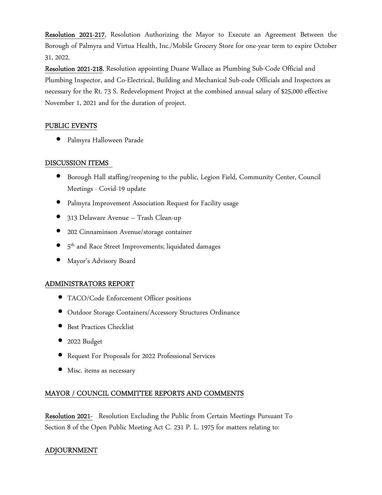Resolution 2021-217, Resolution Authorizing the Mayor to Execute an Agreement Between the Borough of Palmyra and Virtua Health, Inc./Mobile Grocery Store for one-year term to expire October 31, 2022.

Resolution 2021-218, Resolution appointing Duane Wallace as Plumbing Sub-Code Official and Plumbing Inspector, and Co-Electrical, Building and Mechanical Sub-code Officials and Inspectors as necessary for the Rt. 73 S. Redevelopment Project at the combined annual salary of \$25,000 effective November 1, 2021 and for the duration of project.

# PUBLIC EVENTS

• Palmyra Halloween Parade

# DISCUSSION ITEMS

- Borough Hall staffing/reopening to the public, Legion Field, Community Center, Council Meetings - Covid-19 update
- Palmyra Improvement Association Request for Facility usage
- 313 Delaware Avenue Trash Clean-up
- 202 Cinnaminson Avenue/storage container
- $\bullet$   $\,$   $\,5^{\rm th}$  and Race Street Improvements; liquidated damages
- Mayor's Advisory Board

# ADMINISTRATORS REPORT

- TACO/Code Enforcement Officer positions
- Outdoor Storage Containers/Accessory Structures Ordinance
- Best Practices Checklist
- 2022 Budget
- Request For Proposals for 2022 Professional Services
- Misc. items as necessary

# MAYOR / COUNCIL COMMITTEE REPORTS AND COMMENTS

Resolution 2021- Resolution Excluding the Public from Certain Meetings Pursuant To Section 8 of the Open Public Meeting Act C. 231 P. L. 1975 for matters relating to:

# ADJOURNMENT